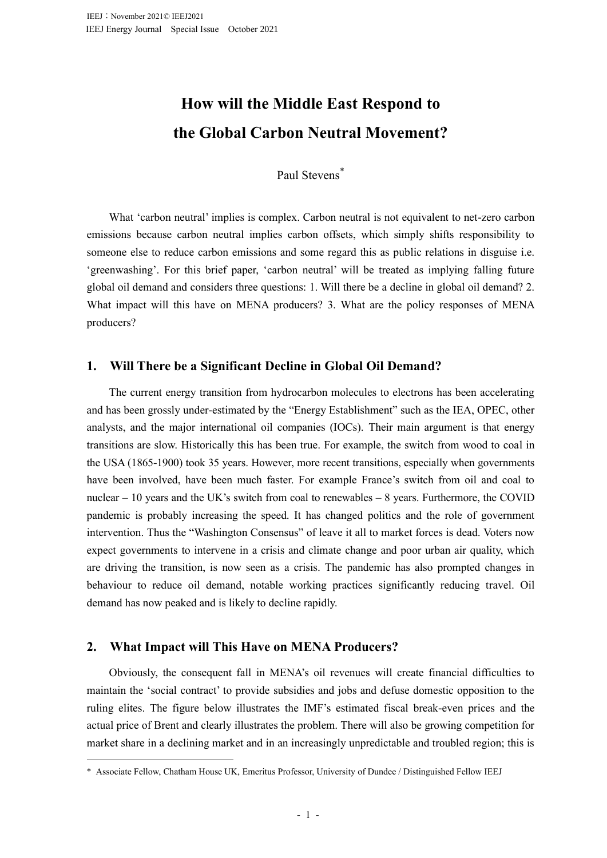# **How will the Middle East Respond to the Global Carbon Neutral Movement?**

## Paul Stevens\*

What 'carbon neutral' implies is complex. Carbon neutral is not equivalent to net-zero carbon emissions because carbon neutral implies carbon offsets, which simply shifts responsibility to someone else to reduce carbon emissions and some regard this as public relations in disguise i.e. 'greenwashing'. For this brief paper, 'carbon neutral' will be treated as implying falling future global oil demand and considers three questions: 1. Will there be a decline in global oil demand? 2. What impact will this have on MENA producers? 3. What are the policy responses of MENA producers?

### **1. Will There be a Significant Decline in Global Oil Demand?**

The current energy transition from hydrocarbon molecules to electrons has been accelerating and has been grossly under-estimated by the "Energy Establishment" such as the IEA, OPEC, other analysts, and the major international oil companies (IOCs). Their main argument is that energy transitions are slow. Historically this has been true. For example, the switch from wood to coal in the USA (1865-1900) took 35 years. However, more recent transitions, especially when governments have been involved, have been much faster. For example France's switch from oil and coal to nuclear  $-10$  years and the UK's switch from coal to renewables  $-8$  years. Furthermore, the COVID pandemic is probably increasing the speed. It has changed politics and the role of government intervention. Thus the "Washington Consensus" of leave it all to market forces is dead. Voters now expect governments to intervene in a crisis and climate change and poor urban air quality, which are driving the transition, is now seen as a crisis. The pandemic has also prompted changes in behaviour to reduce oil demand, notable working practices significantly reducing travel. Oil demand has now peaked and is likely to decline rapidly.

## **2. What Impact will This Have on MENA Producers?**

Obviously, the consequent fall in MENA's oil revenues will create financial difficulties to maintain the 'social contract' to provide subsidies and jobs and defuse domestic opposition to the ruling elites. The figure below illustrates the IMF's estimated fiscal break-even prices and the actual price of Brent and clearly illustrates the problem. There will also be growing competition for market share in a declining market and in an increasingly unpredictable and troubled region; this is

<sup>\*</sup> Associate Fellow, Chatham House UK, Emeritus Professor, University of Dundee / Distinguished Fellow IEEJ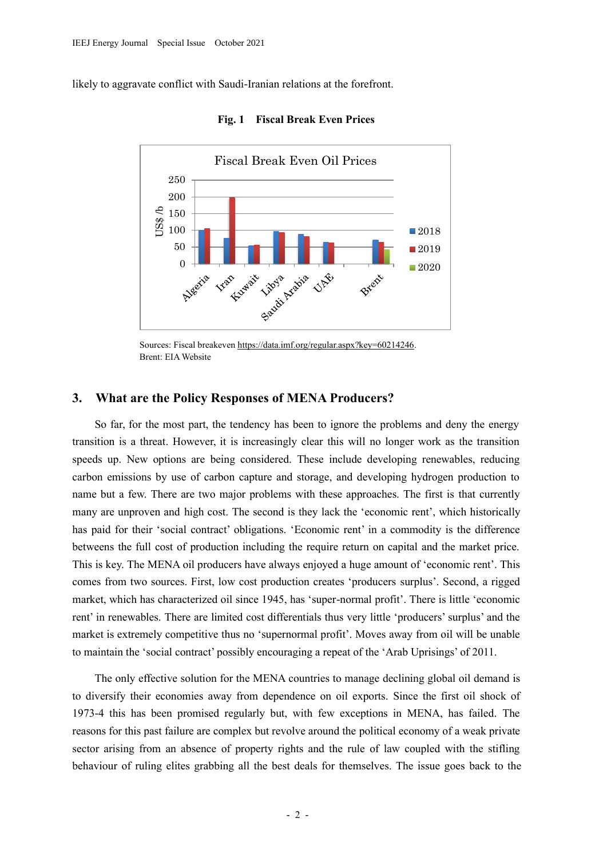likely to aggravate conflict with Saudi-Iranian relations at the forefront.



**Fig. 1 Fiscal Break Even Prices**

Sources: Fiscal breakeven [https://data.imf.org/regular.aspx?key=60214246.](https://data.imf.org/regular.aspx?key=60214246) Brent: EIA Website

### **3. What are the Policy Responses of MENA Producers?**

So far, for the most part, the tendency has been to ignore the problems and deny the energy transition is a threat. However, it is increasingly clear this will no longer work as the transition speeds up. New options are being considered. These include developing renewables, reducing carbon emissions by use of carbon capture and storage, and developing hydrogen production to name but a few. There are two major problems with these approaches. The first is that currently many are unproven and high cost. The second is they lack the 'economic rent', which historically has paid for their 'social contract' obligations. 'Economic rent' in a commodity is the difference betweens the full cost of production including the require return on capital and the market price. This is key. The MENA oil producers have always enjoyed a huge amount of 'economic rent'. This comes from two sources. First, low cost production creates 'producers surplus'. Second, a rigged market, which has characterized oil since 1945, has 'super-normal profit'. There is little 'economic rent' in renewables. There are limited cost differentials thus very little 'producers' surplus' and the market is extremely competitive thus no 'supernormal profit'. Moves away from oil will be unable to maintain the 'social contract' possibly encouraging a repeat of the 'Arab Uprisings' of 2011.

The only effective solution for the MENA countries to manage declining global oil demand is to diversify their economies away from dependence on oil exports. Since the first oil shock of 1973-4 this has been promised regularly but, with few exceptions in MENA, has failed. The reasons for this past failure are complex but revolve around the political economy of a weak private sector arising from an absence of property rights and the rule of law coupled with the stifling behaviour of ruling elites grabbing all the best deals for themselves. The issue goes back to the